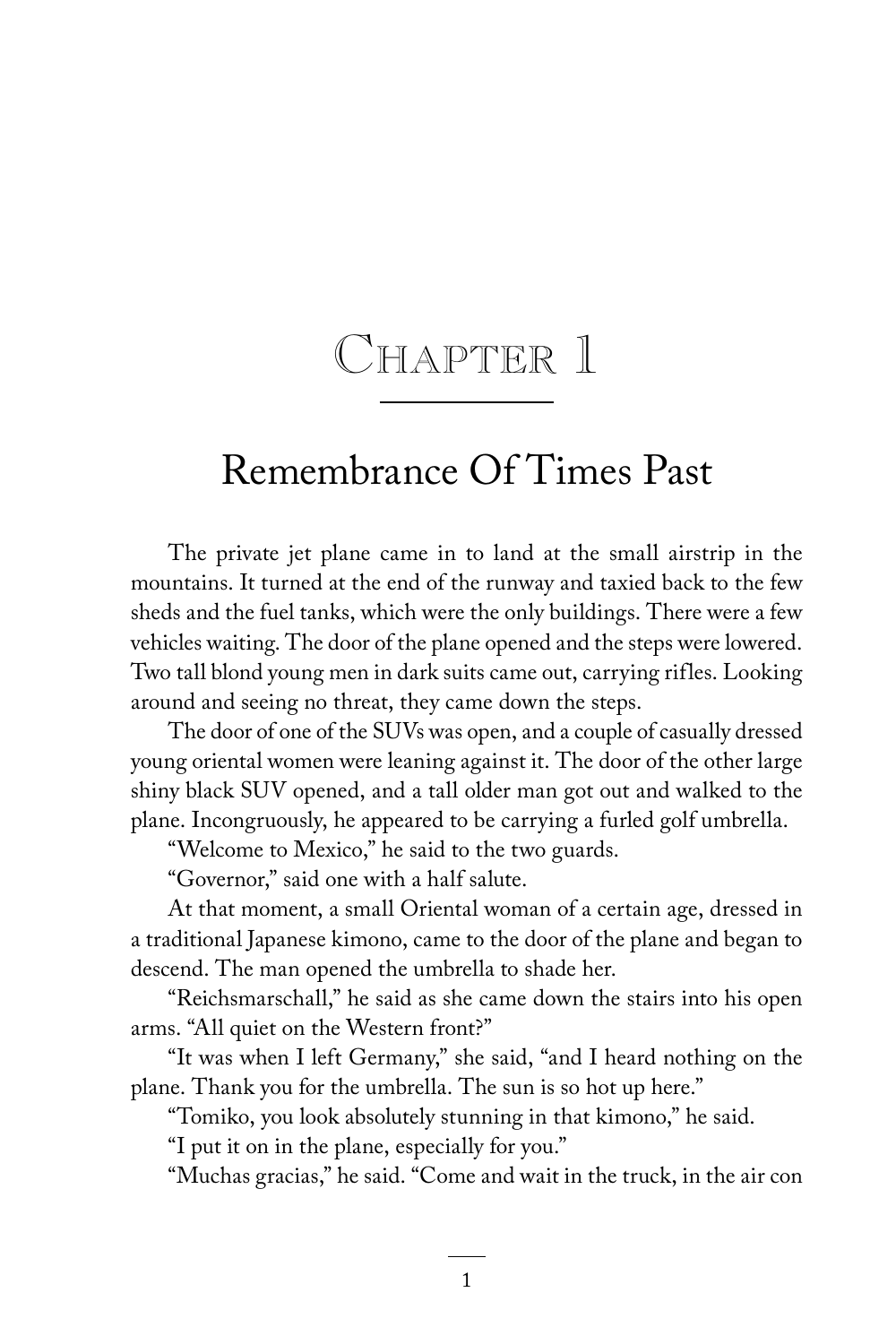## CHAPTER 1

## Remembrance Of Times Past

The private jet plane came in to land at the small airstrip in the mountains. It turned at the end of the runway and taxied back to the few sheds and the fuel tanks, which were the only buildings. There were a few vehicles waiting. The door of the plane opened and the steps were lowered. Two tall blond young men in dark suits came out, carrying rifles. Looking around and seeing no threat, they came down the steps.

The door of one of the SUVs was open, and a couple of casually dressed young oriental women were leaning against it. The door of the other large shiny black SUV opened, and a tall older man got out and walked to the plane. Incongruously, he appeared to be carrying a furled golf umbrella.

"Welcome to Mexico," he said to the two guards.

"Governor," said one with a half salute.

At that moment, a small Oriental woman of a certain age, dressed in a traditional Japanese kimono, came to the door of the plane and began to descend. The man opened the umbrella to shade her.

"Reichsmarschall," he said as she came down the stairs into his open arms. "All quiet on the Western front?"

"It was when I left Germany," she said, "and I heard nothing on the plane. Thank you for the umbrella. The sun is so hot up here."

"Tomiko, you look absolutely stunning in that kimono," he said.

"I put it on in the plane, especially for you."

"Muchas gracias," he said. "Come and wait in the truck, in the air con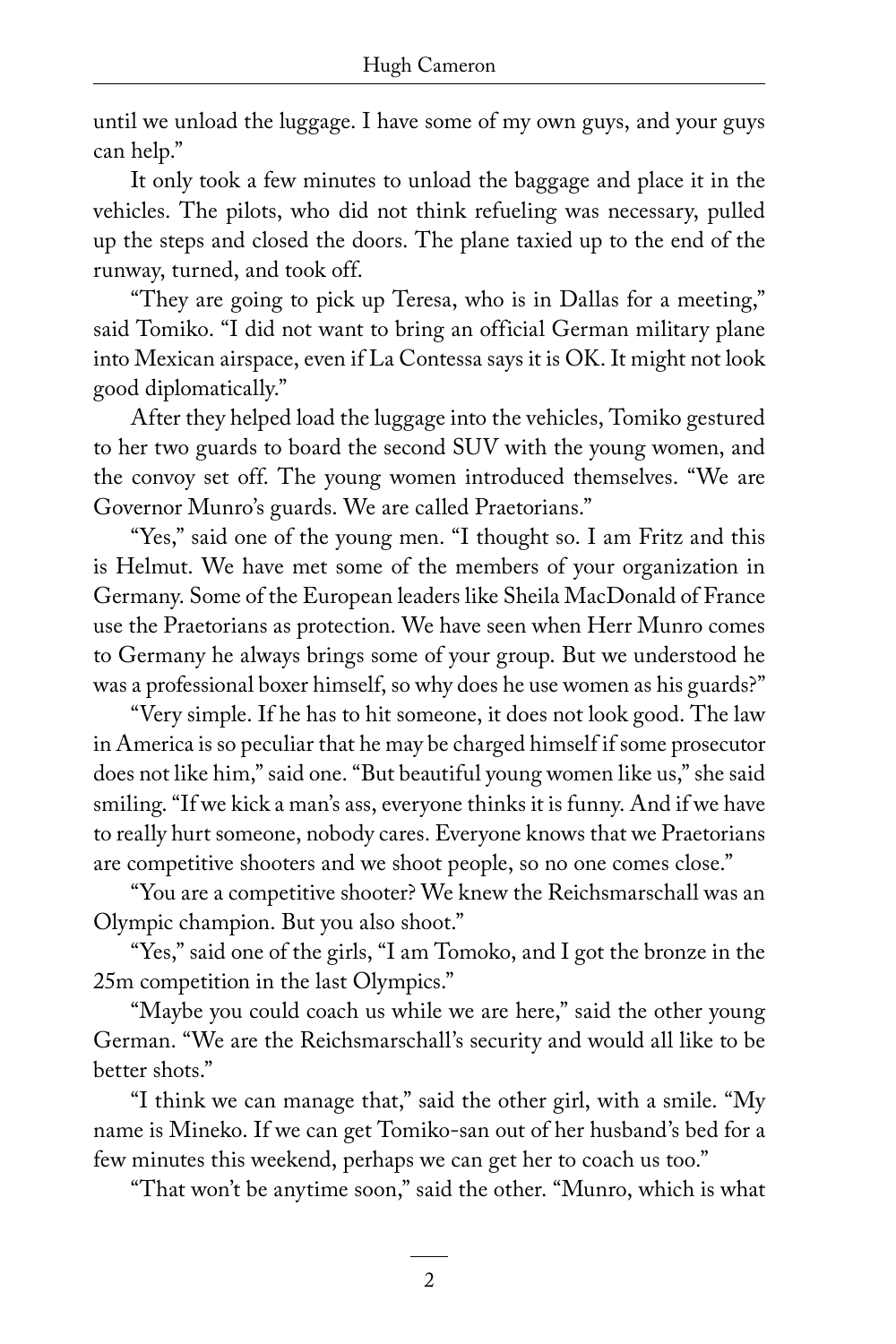until we unload the luggage. I have some of my own guys, and your guys can help."

It only took a few minutes to unload the baggage and place it in the vehicles. The pilots, who did not think refueling was necessary, pulled up the steps and closed the doors. The plane taxied up to the end of the runway, turned, and took off.

"They are going to pick up Teresa, who is in Dallas for a meeting," said Tomiko. "I did not want to bring an official German military plane into Mexican airspace, even if La Contessa says it is OK. It might not look good diplomatically."

After they helped load the luggage into the vehicles, Tomiko gestured to her two guards to board the second SUV with the young women, and the convoy set off. The young women introduced themselves. "We are Governor Munro's guards. We are called Praetorians."

"Yes," said one of the young men. "I thought so. I am Fritz and this is Helmut. We have met some of the members of your organization in Germany. Some of the European leaders like Sheila MacDonald of France use the Praetorians as protection. We have seen when Herr Munro comes to Germany he always brings some of your group. But we understood he was a professional boxer himself, so why does he use women as his guards?"

"Very simple. If he has to hit someone, it does not look good. The law in America is so peculiar that he may be charged himself if some prosecutor does not like him," said one. "But beautiful young women like us," she said smiling. "If we kick a man's ass, everyone thinks it is funny. And if we have to really hurt someone, nobody cares. Everyone knows that we Praetorians are competitive shooters and we shoot people, so no one comes close."

"You are a competitive shooter? We knew the Reichsmarschall was an Olympic champion. But you also shoot."

"Yes," said one of the girls, "I am Tomoko, and I got the bronze in the 25m competition in the last Olympics."

"Maybe you could coach us while we are here," said the other young German. "We are the Reichsmarschall's security and would all like to be better shots."

"I think we can manage that," said the other girl, with a smile. "My name is Mineko. If we can get Tomiko-san out of her husband's bed for a few minutes this weekend, perhaps we can get her to coach us too."

"That won't be anytime soon," said the other. "Munro, which is what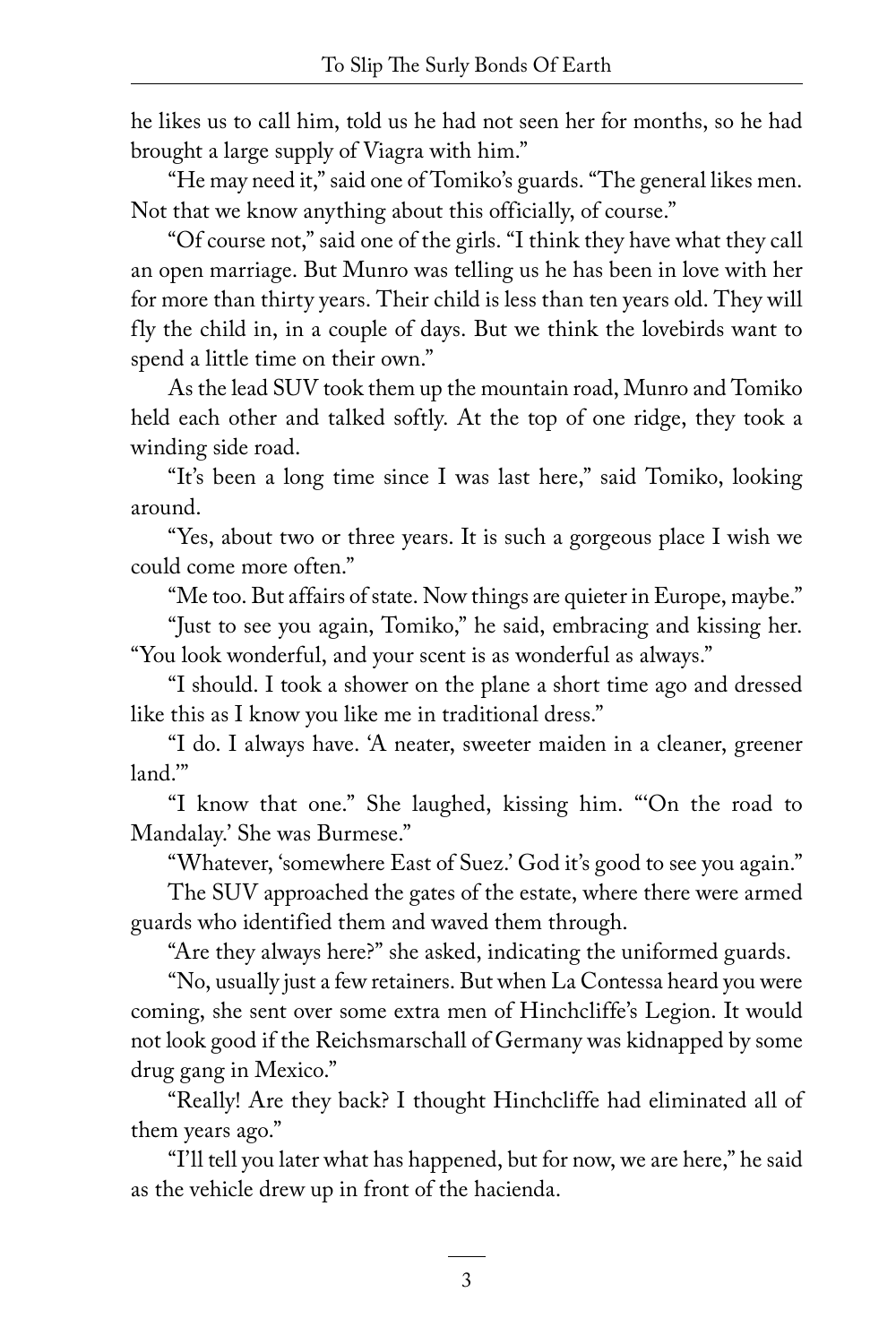he likes us to call him, told us he had not seen her for months, so he had brought a large supply of Viagra with him."

"He may need it," said one of Tomiko's guards. "The general likes men. Not that we know anything about this officially, of course."

"Of course not," said one of the girls. "I think they have what they call an open marriage. But Munro was telling us he has been in love with her for more than thirty years. Their child is less than ten years old. They will fly the child in, in a couple of days. But we think the lovebirds want to spend a little time on their own."

As the lead SUV took them up the mountain road, Munro and Tomiko held each other and talked softly. At the top of one ridge, they took a winding side road.

"It's been a long time since I was last here," said Tomiko, looking around.

"Yes, about two or three years. It is such a gorgeous place I wish we could come more often."

"Me too. But affairs of state. Now things are quieter in Europe, maybe."

"Just to see you again, Tomiko," he said, embracing and kissing her. "You look wonderful, and your scent is as wonderful as always."

"I should. I took a shower on the plane a short time ago and dressed like this as I know you like me in traditional dress."

"I do. I always have. 'A neater, sweeter maiden in a cleaner, greener land.'"

"I know that one." She laughed, kissing him. "'On the road to Mandalay.' She was Burmese."

"Whatever, 'somewhere East of Suez.' God it's good to see you again."

The SUV approached the gates of the estate, where there were armed guards who identified them and waved them through.

"Are they always here?" she asked, indicating the uniformed guards.

"No, usually just a few retainers. But when La Contessa heard you were coming, she sent over some extra men of Hinchcliffe's Legion. It would not look good if the Reichsmarschall of Germany was kidnapped by some drug gang in Mexico."

"Really! Are they back? I thought Hinchcliffe had eliminated all of them years ago."

"I'll tell you later what has happened, but for now, we are here," he said as the vehicle drew up in front of the hacienda.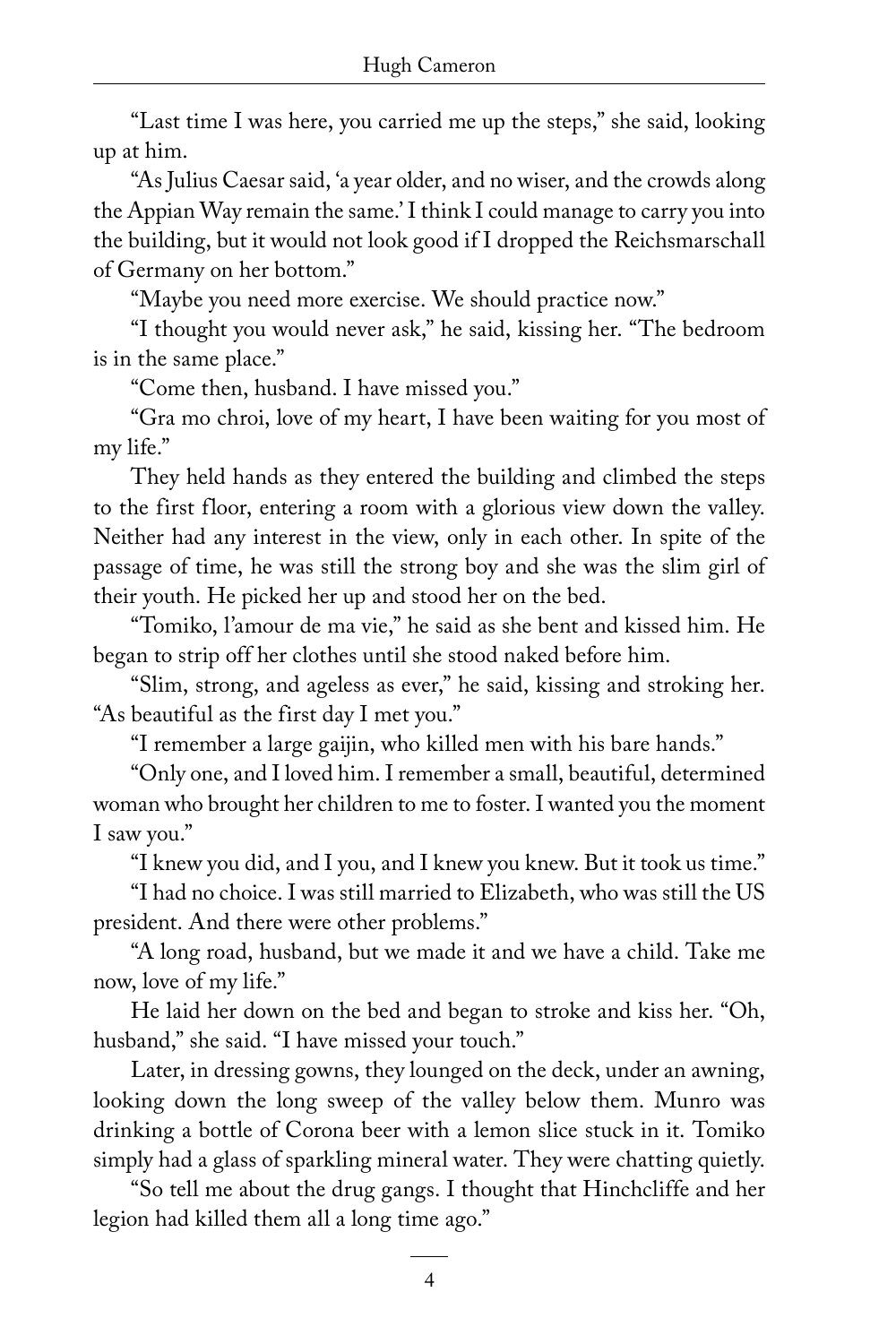"Last time I was here, you carried me up the steps," she said, looking up at him.

"As Julius Caesar said, 'a year older, and no wiser, and the crowds along the Appian Way remain the same.' I think I could manage to carry you into the building, but it would not look good if I dropped the Reichsmarschall of Germany on her bottom."

"Maybe you need more exercise. We should practice now."

"I thought you would never ask," he said, kissing her. "The bedroom is in the same place."

"Come then, husband. I have missed you."

"Gra mo chroi, love of my heart, I have been waiting for you most of my life."

They held hands as they entered the building and climbed the steps to the first floor, entering a room with a glorious view down the valley. Neither had any interest in the view, only in each other. In spite of the passage of time, he was still the strong boy and she was the slim girl of their youth. He picked her up and stood her on the bed.

"Tomiko, l'amour de ma vie," he said as she bent and kissed him. He began to strip off her clothes until she stood naked before him.

"Slim, strong, and ageless as ever," he said, kissing and stroking her. "As beautiful as the first day I met you."

"I remember a large gaijin, who killed men with his bare hands."

"Only one, and I loved him. I remember a small, beautiful, determined woman who brought her children to me to foster. I wanted you the moment I saw you."

"I knew you did, and I you, and I knew you knew. But it took us time."

"I had no choice. I was still married to Elizabeth, who was still the US president. And there were other problems."

"A long road, husband, but we made it and we have a child. Take me now, love of my life."

He laid her down on the bed and began to stroke and kiss her. "Oh, husband," she said. "I have missed your touch."

Later, in dressing gowns, they lounged on the deck, under an awning, looking down the long sweep of the valley below them. Munro was drinking a bottle of Corona beer with a lemon slice stuck in it. Tomiko simply had a glass of sparkling mineral water. They were chatting quietly.

"So tell me about the drug gangs. I thought that Hinchcliffe and her legion had killed them all a long time ago."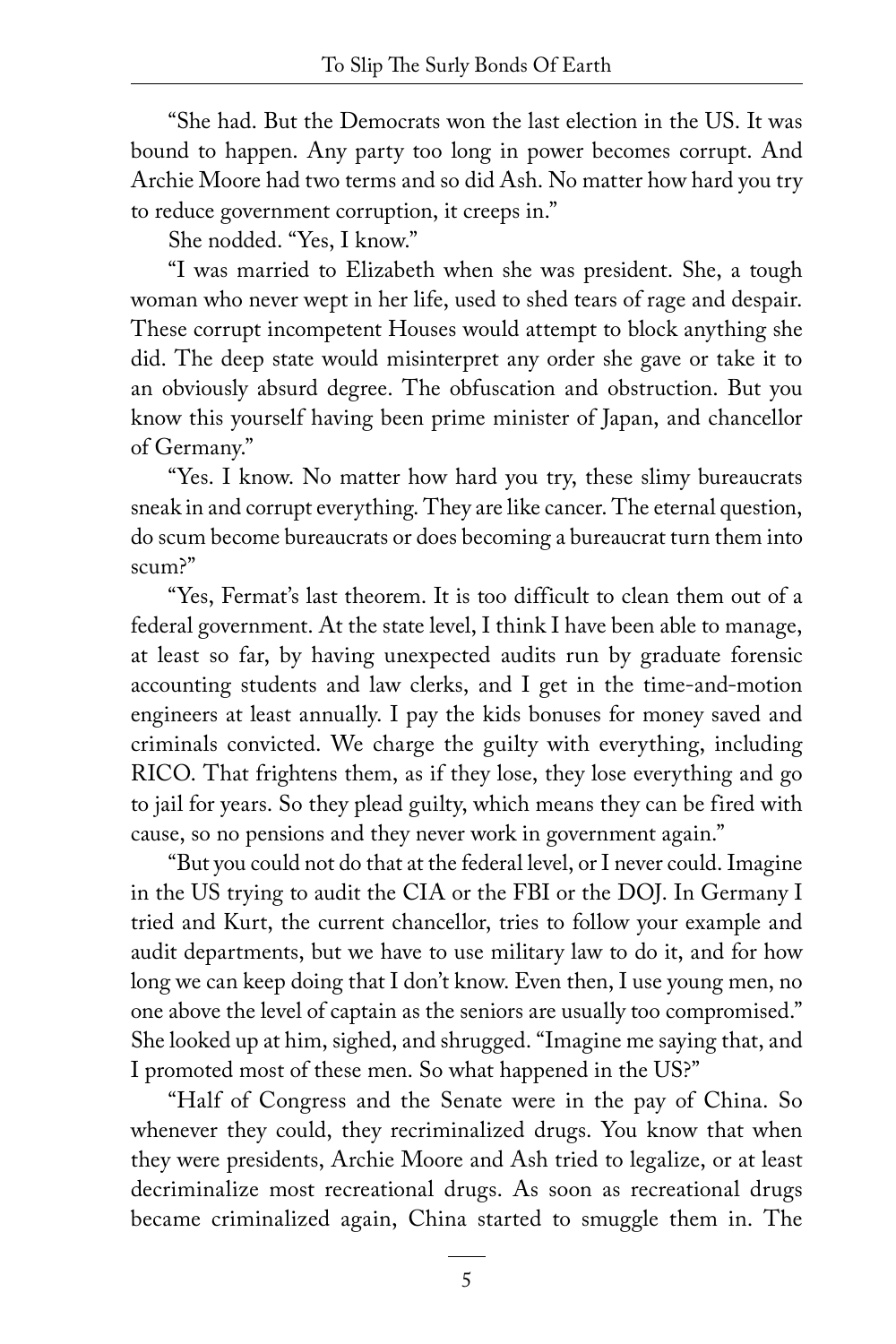"She had. But the Democrats won the last election in the US. It was bound to happen. Any party too long in power becomes corrupt. And Archie Moore had two terms and so did Ash. No matter how hard you try to reduce government corruption, it creeps in."

She nodded. "Yes, I know."

"I was married to Elizabeth when she was president. She, a tough woman who never wept in her life, used to shed tears of rage and despair. These corrupt incompetent Houses would attempt to block anything she did. The deep state would misinterpret any order she gave or take it to an obviously absurd degree. The obfuscation and obstruction. But you know this yourself having been prime minister of Japan, and chancellor of Germany."

"Yes. I know. No matter how hard you try, these slimy bureaucrats sneak in and corrupt everything. They are like cancer. The eternal question, do scum become bureaucrats or does becoming a bureaucrat turn them into scum?"

"Yes, Fermat's last theorem. It is too difficult to clean them out of a federal government. At the state level, I think I have been able to manage, at least so far, by having unexpected audits run by graduate forensic accounting students and law clerks, and I get in the time-and-motion engineers at least annually. I pay the kids bonuses for money saved and criminals convicted. We charge the guilty with everything, including RICO. That frightens them, as if they lose, they lose everything and go to jail for years. So they plead guilty, which means they can be fired with cause, so no pensions and they never work in government again."

"But you could not do that at the federal level, or I never could. Imagine in the US trying to audit the CIA or the FBI or the DOJ. In Germany I tried and Kurt, the current chancellor, tries to follow your example and audit departments, but we have to use military law to do it, and for how long we can keep doing that I don't know. Even then, I use young men, no one above the level of captain as the seniors are usually too compromised." She looked up at him, sighed, and shrugged. "Imagine me saying that, and I promoted most of these men. So what happened in the US?"

"Half of Congress and the Senate were in the pay of China. So whenever they could, they recriminalized drugs. You know that when they were presidents, Archie Moore and Ash tried to legalize, or at least decriminalize most recreational drugs. As soon as recreational drugs became criminalized again, China started to smuggle them in. The